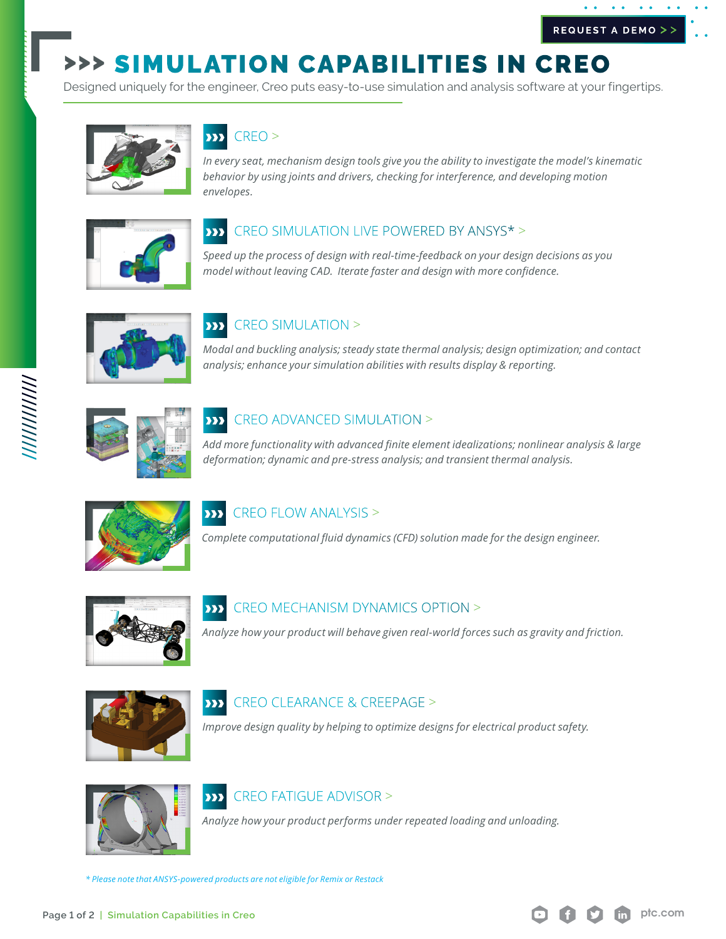# >>> SIMULATION CAPABILITIES IN CREO

Designed uniquely for the engineer, Creo puts easy-to-use simulation and analysis software at your fingertips.



## CREO >

*In every seat, mechanism design tools give you the ability to investigate the model's kinematic behavior by using joints and drivers, checking for interference, and developing motion envelopes.*



### CREO SIMULATION LIVE POWERED BY ANSYS\* >  $\overline{\mathbf{y}}$

*Speed up the process of design with real-time-feedback on your design decisions as you model without leaving CAD. Iterate faster and design with more confidence.* 



### CREO SIMULATION >  $\overline{\bf \Sigma}$

*Modal and buckling analysis; steady state thermal analysis; design optimization; and contact analysis; enhance your simulation abilities with results display & reporting.*



### CREO ADVANCED SIMULATION >  $\overline{\bf \Sigma}$

*Add more functionality with advanced finite element idealizations; nonlinear analysis & large deformation; dynamic and pre-stress analysis; and transient thermal analysis.* 



### CREO FLOW ANALYSIS >  $\overline{\mathbf{y}}$

*Complete computational fluid dynamics (CFD) solution made for the design engineer.*



### CREO MECHANISM DYNAMICS OPTION >  $\overline{\mathbf{w}}$

*Analyze how your product will behave given real-world forces such as gravity and friction.*



### CREO CLEARANCE & CREEPAGE >  $\overline{\bf \Sigma}$

*Improve design quality by helping to optimize designs for electrical product safety.*



### CREO FATIGUE ADVISOR >  $\overline{\bf \Sigma}$

*Analyze how your product performs under repeated loading and unloading.*

*\* Please note that ANSYS-powered products are not eligible for Remix or Restack*